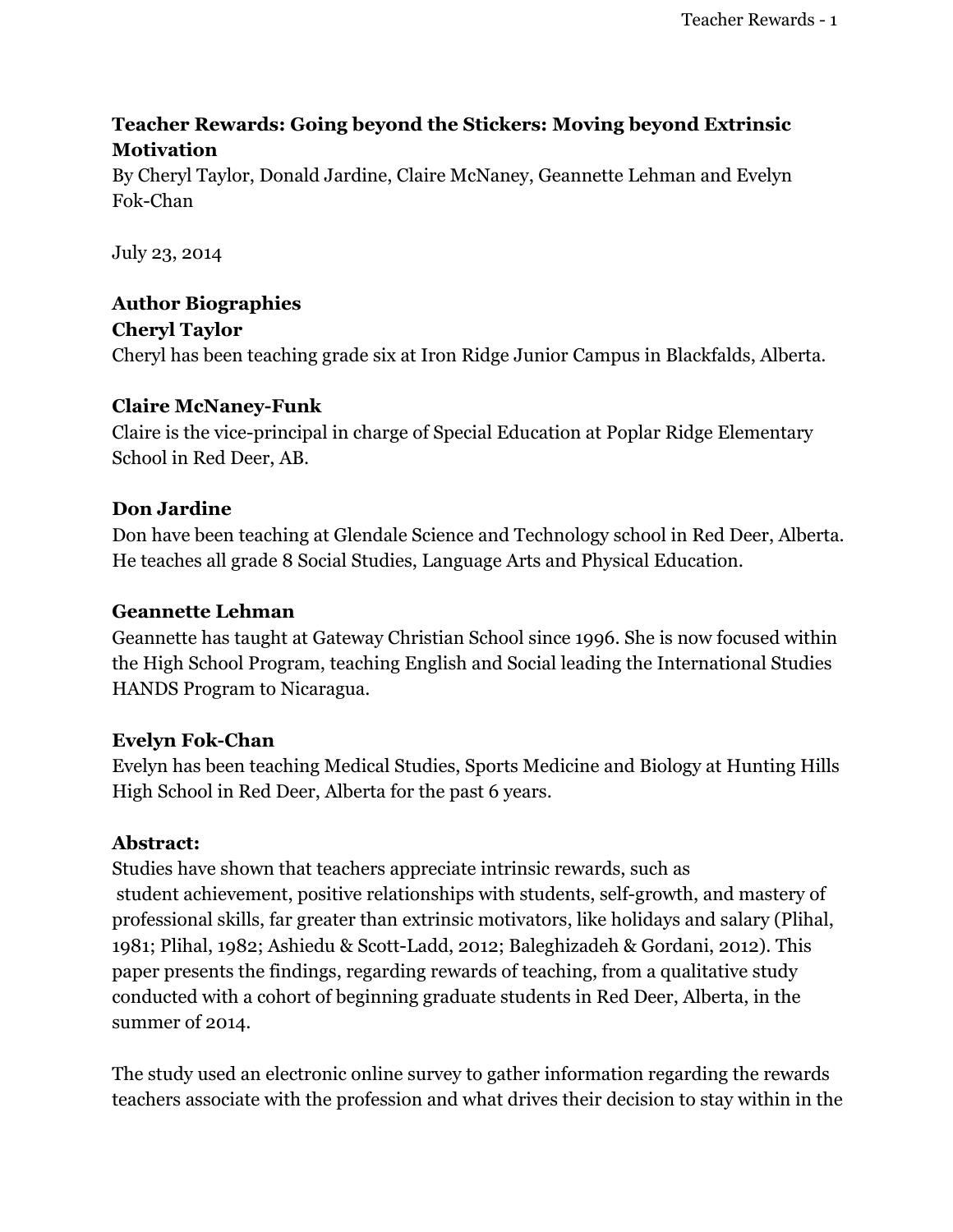# **Teacher Rewards: Going beyond the Stickers: Moving beyond Extrinsic Motivation**

By Cheryl Taylor, Donald Jardine, Claire McNaney, Geannette Lehman and Evelyn Fok-Chan

July 23, 2014

# **Author Biographies**

**Cheryl Taylor** Cheryl has been teaching grade six at Iron Ridge Junior Campus in Blackfalds, Alberta.

## **Claire McNaney-Funk**

Claire is the vice-principal in charge of Special Education at Poplar Ridge Elementary School in Red Deer, AB.

## **Don Jardine**

Don have been teaching at Glendale Science and Technology school in Red Deer, Alberta. He teaches all grade 8 Social Studies, Language Arts and Physical Education.

## **Geannette Lehman**

Geannette has taught at Gateway Christian School since 1996. She is now focused within the High School Program, teaching English and Social leading the International Studies HANDS Program to Nicaragua.

## **Evelyn Fok-Chan**

Evelyn has been teaching Medical Studies, Sports Medicine and Biology at Hunting Hills High School in Red Deer, Alberta for the past 6 years.

## **Abstract:**

Studies have shown that teachers appreciate intrinsic rewards, such as student achievement, positive relationships with students, self-growth, and mastery of professional skills, far greater than extrinsic motivators, like holidays and salary (Plihal, 1981; Plihal, 1982; Ashiedu & Scott-Ladd, 2012; Baleghizadeh & Gordani, 2012). This paper presents the findings, regarding rewards of teaching, from a qualitative study conducted with a cohort of beginning graduate students in Red Deer, Alberta, in the summer of 2014.

The study used an electronic online survey to gather information regarding the rewards teachers associate with the profession and what drives their decision to stay within in the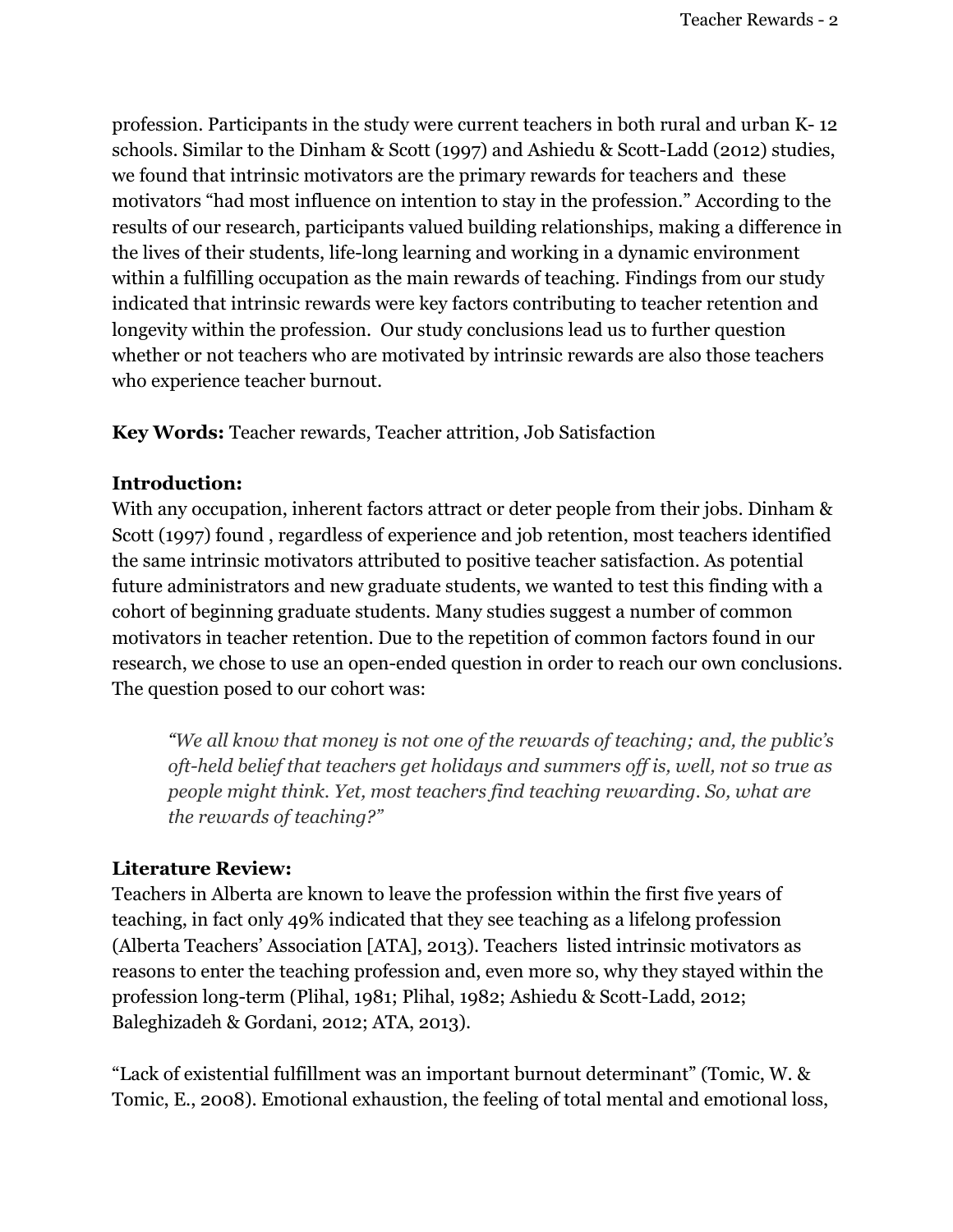profession. Participants in the study were current teachers in both rural and urban K- 12 schools. Similar to the Dinham & Scott (1997) and Ashiedu & Scott-Ladd (2012) studies, we found that intrinsic motivators are the primary rewards for teachers and these motivators "had most influence on intention to stay in the profession." According to the results of our research, participants valued building relationships, making a difference in the lives of their students, life-long learning and working in a dynamic environment within a fulfilling occupation as the main rewards of teaching. Findings from our study indicated that intrinsic rewards were key factors contributing to teacher retention and longevity within the profession. Our study conclusions lead us to further question whether or not teachers who are motivated by intrinsic rewards are also those teachers who experience teacher burnout.

**Key Words:** Teacher rewards, Teacher attrition, Job Satisfaction

## **Introduction:**

With any occupation, inherent factors attract or deter people from their jobs. Dinham & Scott (1997) found , regardless of experience and job retention, most teachers identified the same intrinsic motivators attributed to positive teacher satisfaction. As potential future administrators and new graduate students, we wanted to test this finding with a cohort of beginning graduate students. Many studies suggest a number of common motivators in teacher retention. Due to the repetition of common factors found in our research, we chose to use an open-ended question in order to reach our own conclusions. The question posed to our cohort was:

*"We all know that money is not one of the rewards of teaching; and, the public's oft-held belief that teachers get holidays and summers of is, well, not so true as people might think. Yet, most teachers find teaching rewarding. So, what are the rewards of teaching?"*

# **Literature Review:**

Teachers in Alberta are known to leave the profession within the first five years of teaching, in fact only 49% indicated that they see teaching as a lifelong profession (Alberta Teachers' Association [ATA], 2013). Teachers listed intrinsic motivators as reasons to enter the teaching profession and, even more so, why they stayed within the profession long-term (Plihal, 1981; Plihal, 1982; Ashiedu & Scott-Ladd, 2012; Baleghizadeh & Gordani, 2012; ATA, 2013).

"Lack of existential fulfillment was an important burnout determinant" (Tomic, W. & Tomic, E., 2008). Emotional exhaustion, the feeling of total mental and emotional loss,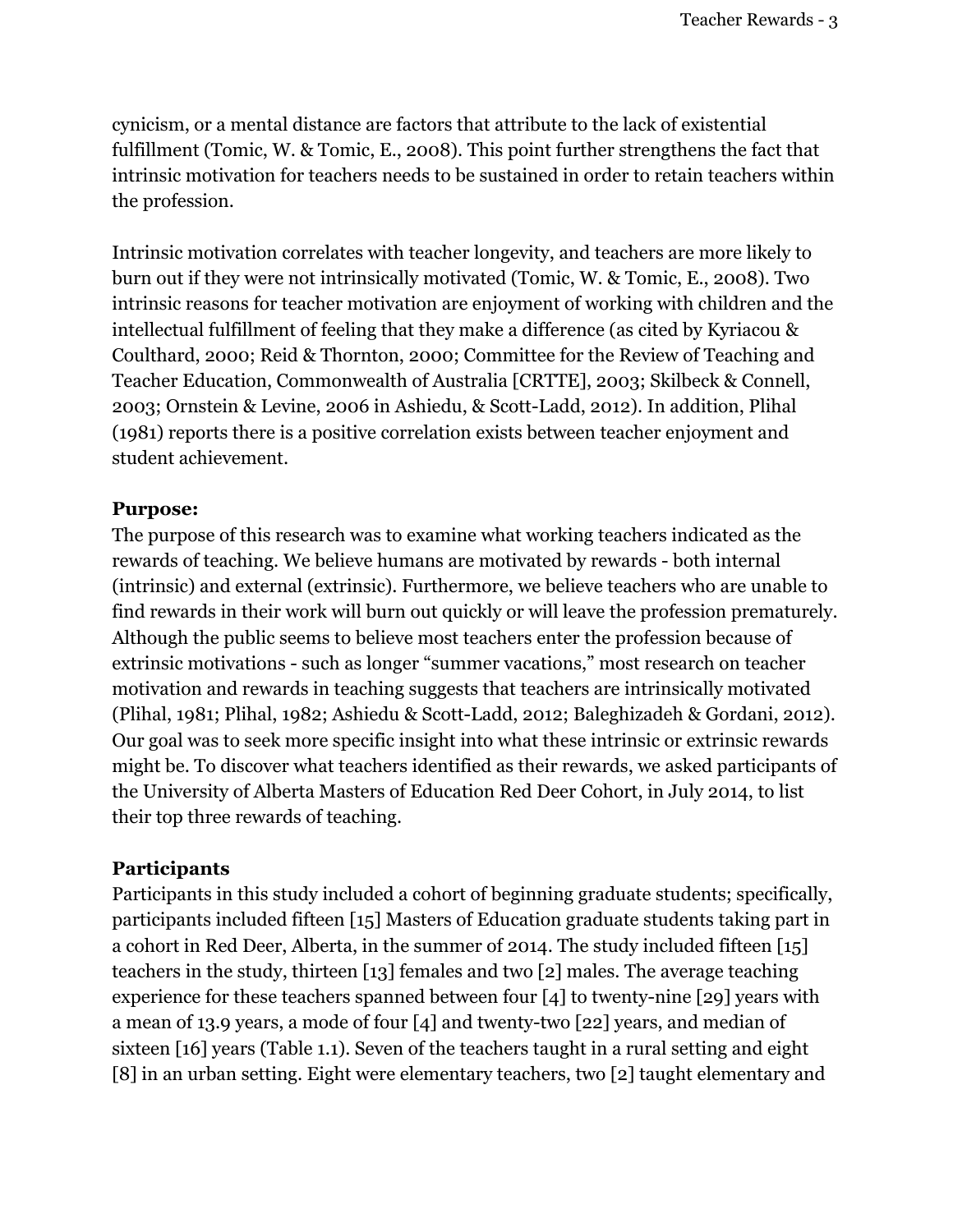cynicism, or a mental distance are factors that attribute to the lack of existential fulfillment (Tomic, W. & Tomic, E., 2008). This point further strengthens the fact that intrinsic motivation for teachers needs to be sustained in order to retain teachers within the profession.

Intrinsic motivation correlates with teacher longevity, and teachers are more likely to burn out if they were not intrinsically motivated (Tomic, W. & Tomic, E., 2008). Two intrinsic reasons for teacher motivation are enjoyment of working with children and the intellectual fulfillment of feeling that they make a difference (as cited by Kyriacou & Coulthard, 2000; Reid & Thornton, 2000; Committee for the Review of Teaching and Teacher Education, Commonwealth of Australia [CRTTE], 2003; Skilbeck & Connell, 2003; Ornstein & Levine, 2006 in Ashiedu, & Scott-Ladd, 2012). In addition, Plihal (1981) reports there is a positive correlation exists between teacher enjoyment and student achievement.

## **Purpose:**

The purpose of this research was to examine what working teachers indicated as the rewards of teaching. We believe humans are motivated by rewards - both internal (intrinsic) and external (extrinsic). Furthermore, we believe teachers who are unable to find rewards in their work will burn out quickly or will leave the profession prematurely. Although the public seems to believe most teachers enter the profession because of extrinsic motivations - such as longer "summer vacations," most research on teacher motivation and rewards in teaching suggests that teachers are intrinsically motivated (Plihal, 1981; Plihal, 1982; Ashiedu & Scott-Ladd, 2012; Baleghizadeh & Gordani, 2012). Our goal was to seek more specific insight into what these intrinsic or extrinsic rewards might be. To discover what teachers identified as their rewards, we asked participants of the University of Alberta Masters of Education Red Deer Cohort, in July 2014, to list their top three rewards of teaching.

# **Participants**

Participants in this study included a cohort of beginning graduate students; specifically, participants included fifteen [15] Masters of Education graduate students taking part in a cohort in Red Deer, Alberta, in the summer of 2014. The study included fifteen [15] teachers in the study, thirteen [13] females and two [2] males. The average teaching experience for these teachers spanned between four [4] to twenty-nine [29] years with a mean of 13.9 years, a mode of four [4] and twenty-two [22] years, and median of sixteen [16] years (Table 1.1). Seven of the teachers taught in a rural setting and eight [8] in an urban setting. Eight were elementary teachers, two [2] taught elementary and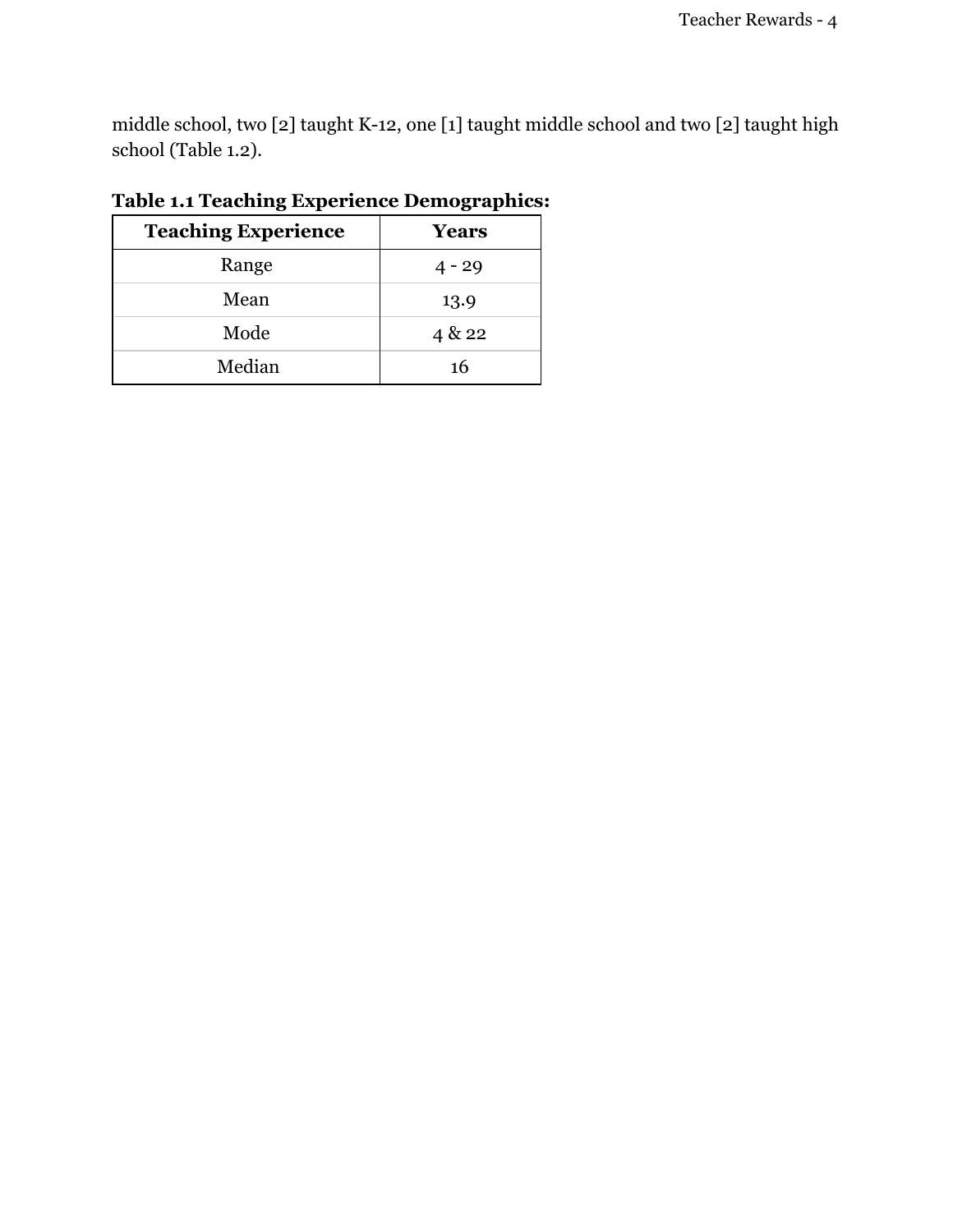middle school, two [2] taught K-12, one [1] taught middle school and two [2] taught high school (Table 1.2).

| <b>Teaching Experience</b> | Years    |
|----------------------------|----------|
| Range                      | $4 - 29$ |
| Mean                       | 13.9     |
| Mode                       | 4 & 22   |
| Median                     | 16       |

# **Table 1.1 Teaching Experience Demographics:**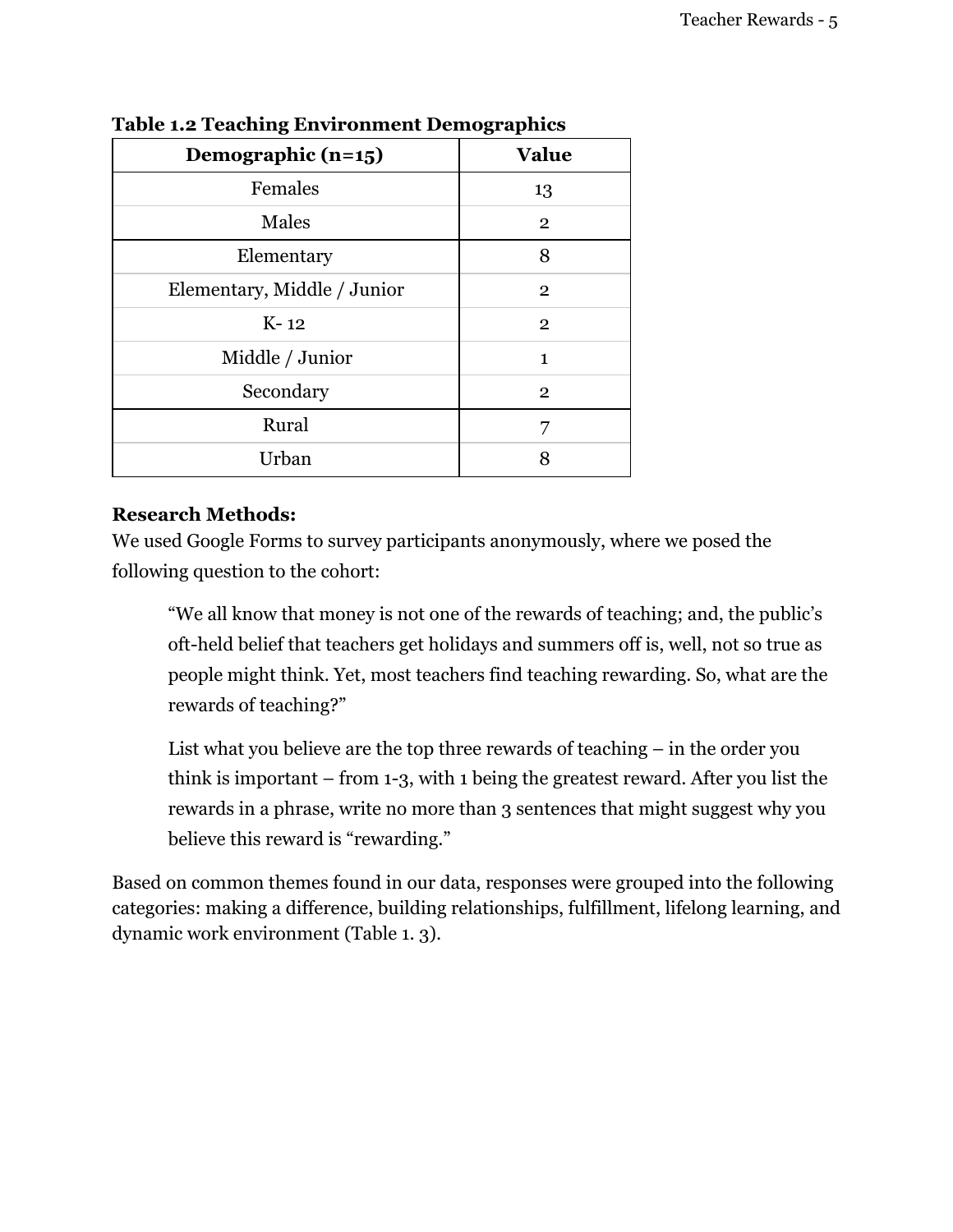| Demographic $(n=15)$        | <b>Value</b>   |
|-----------------------------|----------------|
| Females                     | 13             |
| Males                       | $\overline{2}$ |
| Elementary                  | 8              |
| Elementary, Middle / Junior | $\overline{2}$ |
| $K-12$                      | $\overline{2}$ |
| Middle / Junior             | 1              |
| Secondary                   | $\overline{2}$ |
| Rural                       | 7              |
| Urban                       | 8              |

**Table 1.2 Teaching Environment Demographics**

## **Research Methods:**

We used Google Forms to survey participants anonymously, where we posed the following question to the cohort:

"We all know that money is not one of the rewards of teaching; and, the public's oft-held belief that teachers get holidays and summers off is, well, not so true as people might think. Yet, most teachers find teaching rewarding. So, what are the rewards of teaching?"

List what you believe are the top three rewards of teaching – in the order you think is important – from 1-3, with 1 being the greatest reward. After you list the rewards in a phrase, write no more than 3 sentences that might suggest why you believe this reward is "rewarding."

Based on common themes found in our data, responses were grouped into the following categories: making a difference, building relationships, fulfillment, lifelong learning, and dynamic work environment (Table 1. 3).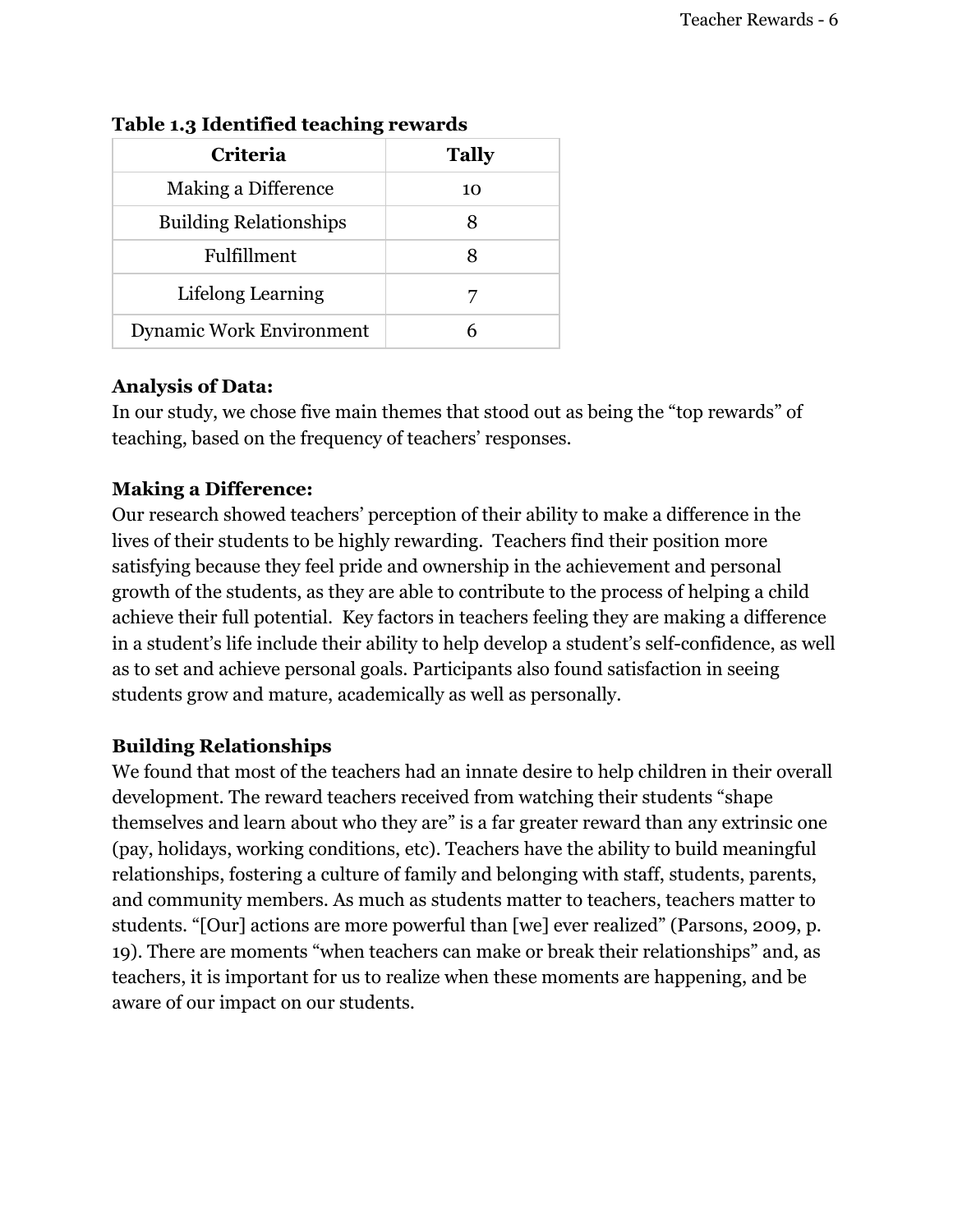| Criteria                        | <b>Tally</b> |
|---------------------------------|--------------|
| Making a Difference             | 10           |
| <b>Building Relationships</b>   |              |
| Fulfillment                     | 8            |
| Lifelong Learning               |              |
| <b>Dynamic Work Environment</b> |              |

## **Table 1.3 Identified teaching rewards**

## **Analysis of Data:**

In our study, we chose five main themes that stood out as being the "top rewards" of teaching, based on the frequency of teachers' responses.

## **Making a Difference:**

Our research showed teachers' perception of their ability to make a difference in the lives of their students to be highly rewarding. Teachers find their position more satisfying because they feel pride and ownership in the achievement and personal growth of the students, as they are able to contribute to the process of helping a child achieve their full potential. Key factors in teachers feeling they are making a difference in a student's life include their ability to help develop a student's self-confidence, as well as to set and achieve personal goals. Participants also found satisfaction in seeing students grow and mature, academically as well as personally.

## **Building Relationships**

We found that most of the teachers had an innate desire to help children in their overall development. The reward teachers received from watching their students "shape themselves and learn about who they are" is a far greater reward than any extrinsic one (pay, holidays, working conditions, etc). Teachers have the ability to build meaningful relationships, fostering a culture of family and belonging with staff, students, parents, and community members. As much as students matter to teachers, teachers matter to students. "[Our] actions are more powerful than [we] ever realized" (Parsons, 2009, p. 19). There are moments "when teachers can make or break their relationships" and, as teachers, it is important for us to realize when these moments are happening, and be aware of our impact on our students.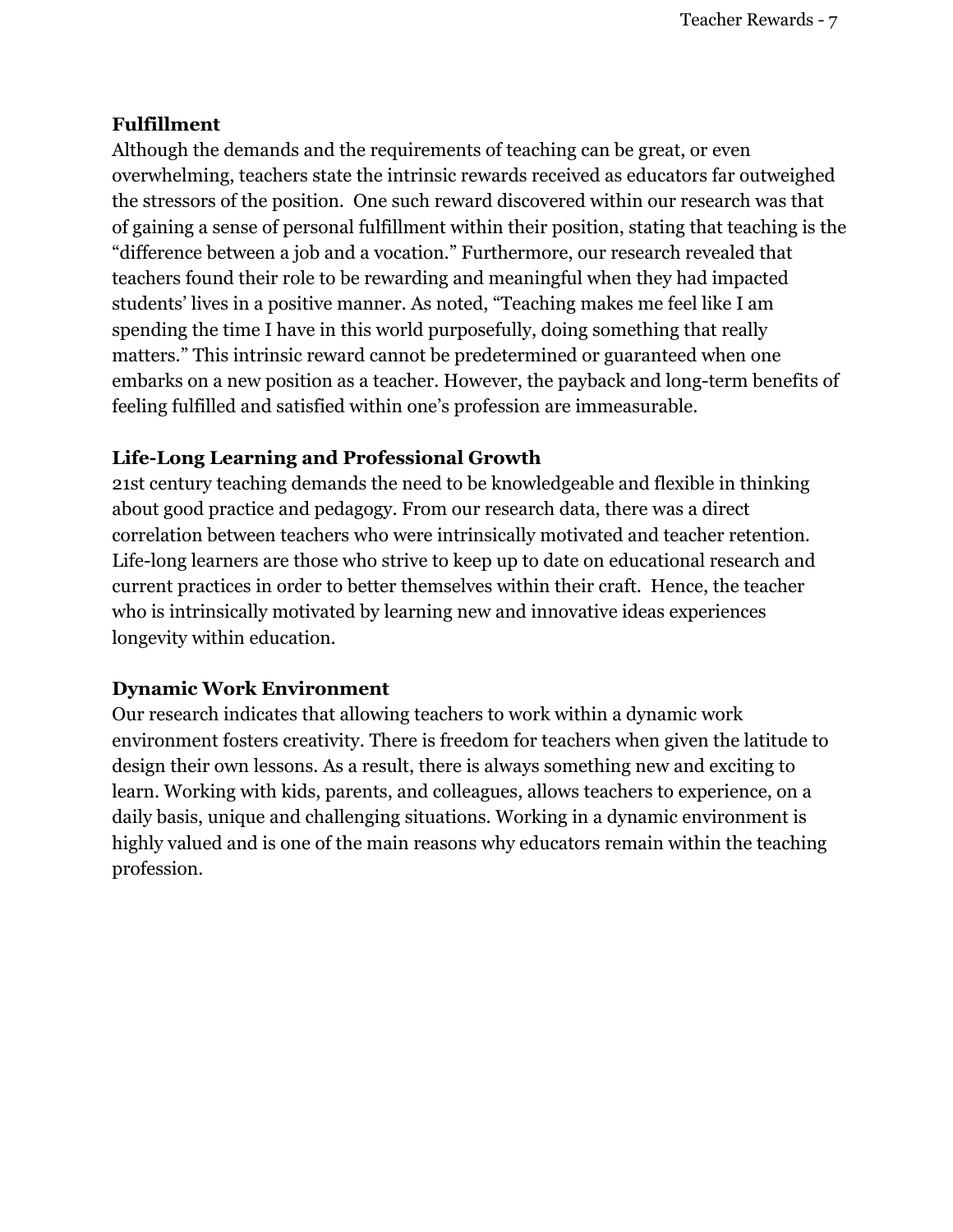## **Fulfillment**

Although the demands and the requirements of teaching can be great, or even overwhelming, teachers state the intrinsic rewards received as educators far outweighed the stressors of the position. One such reward discovered within our research was that of gaining a sense of personal fulfillment within their position, stating that teaching is the "difference between a job and a vocation." Furthermore, our research revealed that teachers found their role to be rewarding and meaningful when they had impacted students' lives in a positive manner. As noted, "Teaching makes me feel like I am spending the time I have in this world purposefully, doing something that really matters." This intrinsic reward cannot be predetermined or guaranteed when one embarks on a new position as a teacher. However, the payback and long-term benefits of feeling fulfilled and satisfied within one's profession are immeasurable.

## **Life-Long Learning and Professional Growth**

21st century teaching demands the need to be knowledgeable and flexible in thinking about good practice and pedagogy. From our research data, there was a direct correlation between teachers who were intrinsically motivated and teacher retention. Life-long learners are those who strive to keep up to date on educational research and current practices in order to better themselves within their craft. Hence, the teacher who is intrinsically motivated by learning new and innovative ideas experiences longevity within education.

## **Dynamic Work Environment**

Our research indicates that allowing teachers to work within a dynamic work environment fosters creativity. There is freedom for teachers when given the latitude to design their own lessons. As a result, there is always something new and exciting to learn. Working with kids, parents, and colleagues, allows teachers to experience, on a daily basis, unique and challenging situations. Working in a dynamic environment is highly valued and is one of the main reasons why educators remain within the teaching profession.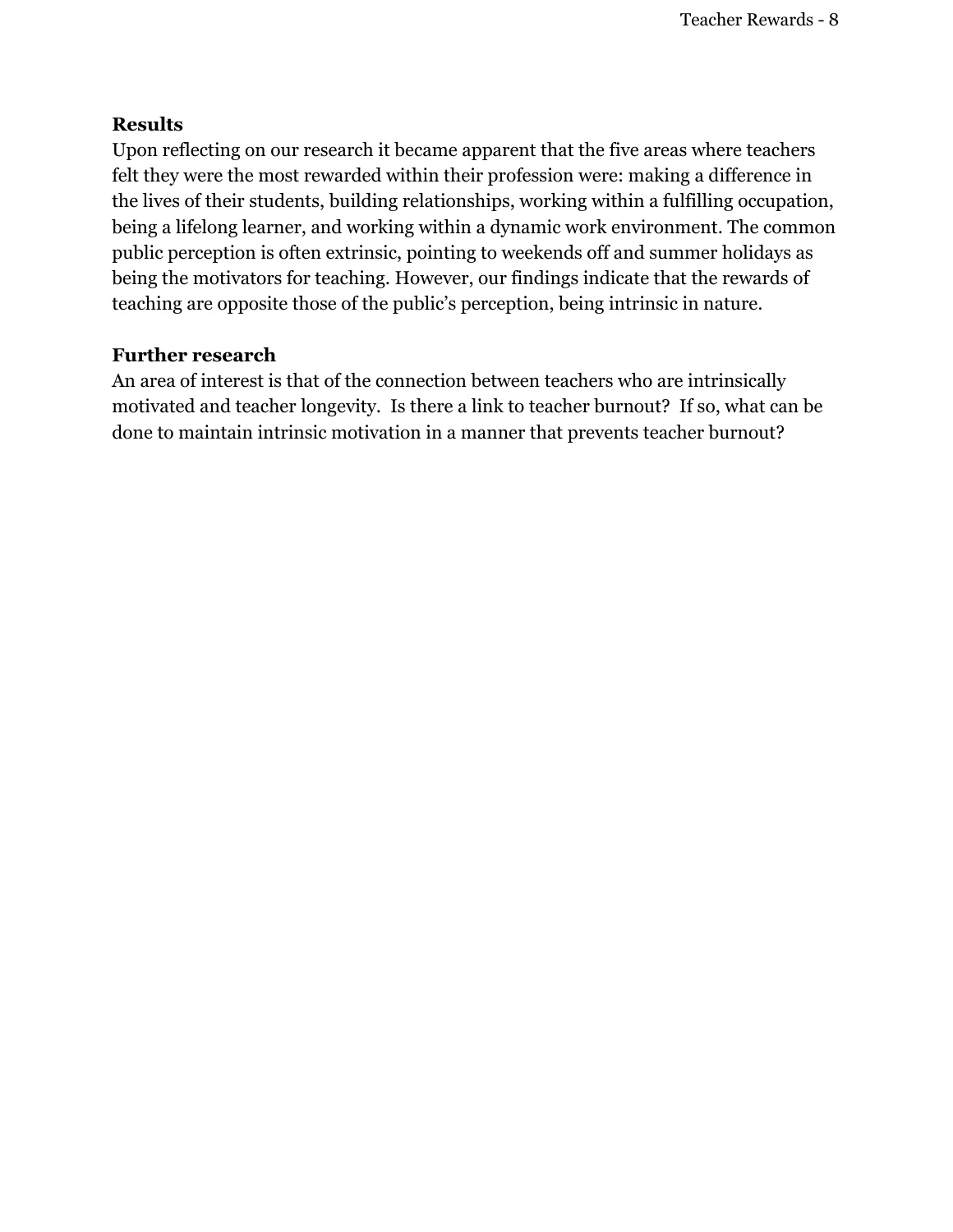## **Results**

Upon reflecting on our research it became apparent that the five areas where teachers felt they were the most rewarded within their profession were: making a difference in the lives of their students, building relationships, working within a fulfilling occupation, being a lifelong learner, and working within a dynamic work environment. The common public perception is often extrinsic, pointing to weekends off and summer holidays as being the motivators for teaching. However, our findings indicate that the rewards of teaching are opposite those of the public's perception, being intrinsic in nature.

## **Further research**

An area of interest is that of the connection between teachers who are intrinsically motivated and teacher longevity. Is there a link to teacher burnout? If so, what can be done to maintain intrinsic motivation in a manner that prevents teacher burnout?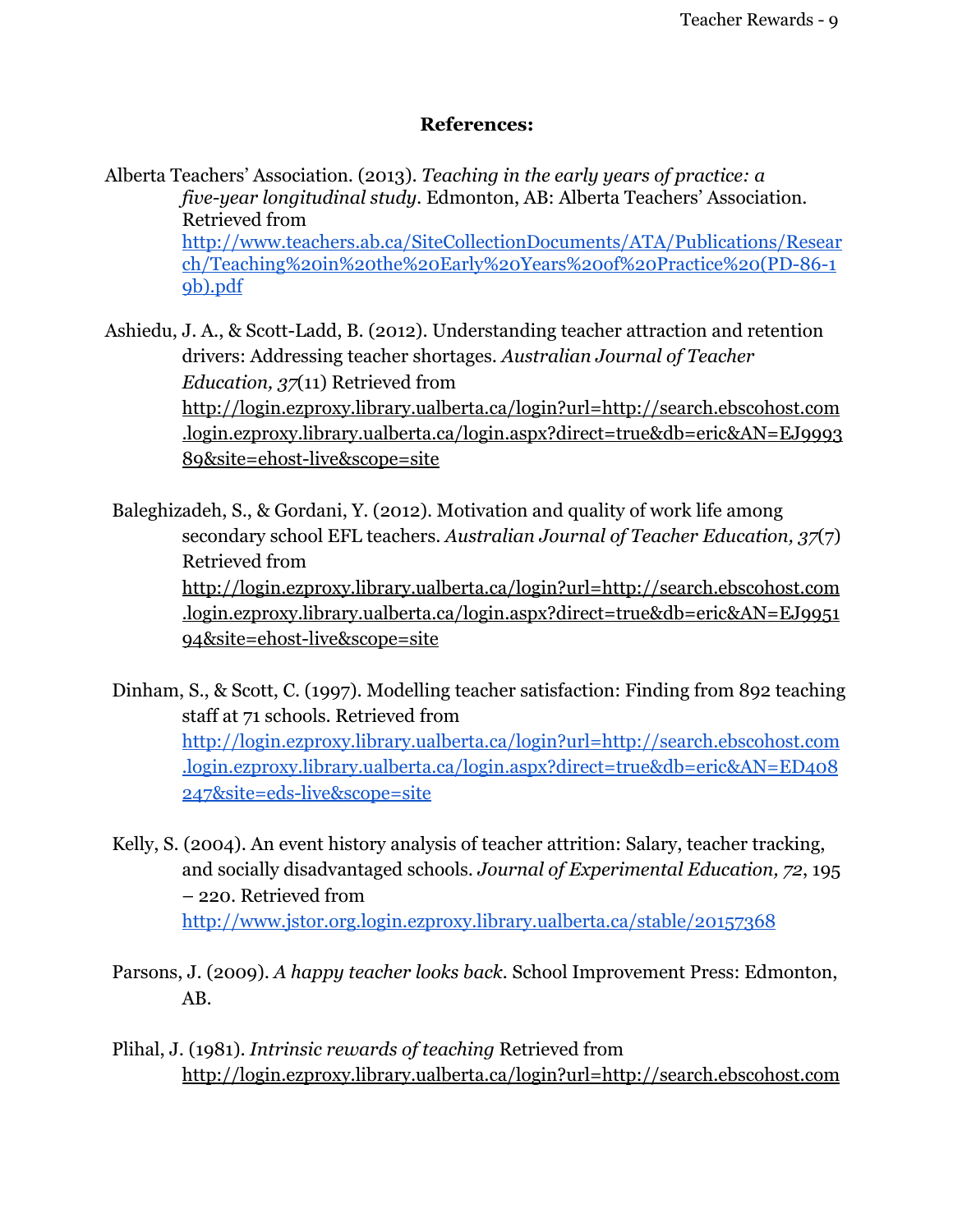## **References:**

Alberta Teachers' Association. (2013). *Teaching in the early years of practice: a five-year longitudinal study.* Edmonton, AB: Alberta Teachers' Association. Retrieved from [http://www.teachers.ab.ca/SiteCollectionDocuments/ATA/Publications/Resear](http://www.google.com/url?q=http%3A%2F%2Fwww.teachers.ab.ca%2FSiteCollectionDocuments%2FATA%2FPublications%2FResearch%2FTeaching%2520in%2520the%2520Early%2520Years%2520of%2520Practice%2520(PD-86-19b).pdf&sa=D&sntz=1&usg=AFQjCNH4BJ7Iq9mrJbcnb87CE-mfeLjmOQ) [ch/Teaching%20in%20the%20Early%20Years%20of%20Practice%20\(PD-86-1](http://www.google.com/url?q=http%3A%2F%2Fwww.teachers.ab.ca%2FSiteCollectionDocuments%2FATA%2FPublications%2FResearch%2FTeaching%2520in%2520the%2520Early%2520Years%2520of%2520Practice%2520(PD-86-19b).pdf&sa=D&sntz=1&usg=AFQjCNH4BJ7Iq9mrJbcnb87CE-mfeLjmOQ) [9b\).pdf](http://www.google.com/url?q=http%3A%2F%2Fwww.teachers.ab.ca%2FSiteCollectionDocuments%2FATA%2FPublications%2FResearch%2FTeaching%2520in%2520the%2520Early%2520Years%2520of%2520Practice%2520(PD-86-19b).pdf&sa=D&sntz=1&usg=AFQjCNH4BJ7Iq9mrJbcnb87CE-mfeLjmOQ)

Ashiedu, J. A., & Scott-Ladd, B. (2012). Understanding teacher attraction and retention drivers: Addressing teacher shortages. *Australian Journal of Teacher Education, 37*(11) Retrieved from [http://login.ezproxy.library.ualberta.ca/login?url=http://search.ebscohost.com](http://www.google.com/url?q=http%3A%2F%2Flogin.ezproxy.library.ualberta.ca%2Flogin%3Furl%3Dhttp%3A%2F%2Fsearch.ebscohost.com.login.ezproxy.library.ualberta.ca%2Flogin.aspx%3Fdirect%3Dtrue%26db%3Deric%26AN%3DEJ999389%26site%3Dehost-live%26scope%3Dsite&sa=D&sntz=1&usg=AFQjCNGrdD6tY3bIwMVy6jckCOYdK59obg) [.login.ezproxy.library.ualberta.ca/login.aspx?direct=true&db=eric&AN=EJ9993](http://www.google.com/url?q=http%3A%2F%2Flogin.ezproxy.library.ualberta.ca%2Flogin%3Furl%3Dhttp%3A%2F%2Fsearch.ebscohost.com.login.ezproxy.library.ualberta.ca%2Flogin.aspx%3Fdirect%3Dtrue%26db%3Deric%26AN%3DEJ999389%26site%3Dehost-live%26scope%3Dsite&sa=D&sntz=1&usg=AFQjCNGrdD6tY3bIwMVy6jckCOYdK59obg) [89&site=ehost-live&scope=site](http://www.google.com/url?q=http%3A%2F%2Flogin.ezproxy.library.ualberta.ca%2Flogin%3Furl%3Dhttp%3A%2F%2Fsearch.ebscohost.com.login.ezproxy.library.ualberta.ca%2Flogin.aspx%3Fdirect%3Dtrue%26db%3Deric%26AN%3DEJ999389%26site%3Dehost-live%26scope%3Dsite&sa=D&sntz=1&usg=AFQjCNGrdD6tY3bIwMVy6jckCOYdK59obg)

Baleghizadeh, S., & Gordani, Y. (2012). Motivation and quality of work life among secondary school EFL teachers. *Australian Journal of Teacher Education, 37*(7) Retrieved from [http://login.ezproxy.library.ualberta.ca/login?url=http://search.ebscohost.com](http://www.google.com/url?q=http%3A%2F%2Flogin.ezproxy.library.ualberta.ca%2Flogin%3Furl%3Dhttp%3A%2F%2Fsearch.ebscohost.com.login.ezproxy.library.ualberta.ca%2Flogin.aspx%3Fdirect%3Dtrue%26db%3Deric%26AN%3DEJ995194%26site%3Dehost-live%26scope%3Dsite&sa=D&sntz=1&usg=AFQjCNFjr_R14a8xkJUCQLTGa1yBYvthWQ) [.login.ezproxy.library.ualberta.ca/login.aspx?direct=true&db=eric&AN=EJ9951](http://www.google.com/url?q=http%3A%2F%2Flogin.ezproxy.library.ualberta.ca%2Flogin%3Furl%3Dhttp%3A%2F%2Fsearch.ebscohost.com.login.ezproxy.library.ualberta.ca%2Flogin.aspx%3Fdirect%3Dtrue%26db%3Deric%26AN%3DEJ995194%26site%3Dehost-live%26scope%3Dsite&sa=D&sntz=1&usg=AFQjCNFjr_R14a8xkJUCQLTGa1yBYvthWQ) [94&site=ehost-live&scope=site](http://www.google.com/url?q=http%3A%2F%2Flogin.ezproxy.library.ualberta.ca%2Flogin%3Furl%3Dhttp%3A%2F%2Fsearch.ebscohost.com.login.ezproxy.library.ualberta.ca%2Flogin.aspx%3Fdirect%3Dtrue%26db%3Deric%26AN%3DEJ995194%26site%3Dehost-live%26scope%3Dsite&sa=D&sntz=1&usg=AFQjCNFjr_R14a8xkJUCQLTGa1yBYvthWQ)

Dinham, S., & Scott, C. (1997). Modelling teacher satisfaction: Finding from 892 teaching staff at 71 schools. Retrieved from [http://login.ezproxy.library.ualberta.ca/login?url=http://search.ebscohost.com](http://www.google.com/url?q=http%3A%2F%2Flogin.ezproxy.library.ualberta.ca%2Flogin%3Furl%3Dhttp%3A%2F%2Fsearch.ebscohost.com.login.ezproxy.library.ualberta.ca%2Flogin.aspx%3Fdirect%3Dtrue%26db%3Deric%26AN%3DED408247%26site%3Deds-live%26scope%3Dsite&sa=D&sntz=1&usg=AFQjCNF6-5-U5DCiUWn5dDpf7QmK4bYsEg) [.login.ezproxy.library.ualberta.ca/login.aspx?direct=true&db=eric&AN=ED408](http://www.google.com/url?q=http%3A%2F%2Flogin.ezproxy.library.ualberta.ca%2Flogin%3Furl%3Dhttp%3A%2F%2Fsearch.ebscohost.com.login.ezproxy.library.ualberta.ca%2Flogin.aspx%3Fdirect%3Dtrue%26db%3Deric%26AN%3DED408247%26site%3Deds-live%26scope%3Dsite&sa=D&sntz=1&usg=AFQjCNF6-5-U5DCiUWn5dDpf7QmK4bYsEg) [247&site=eds-live&scope=site](http://www.google.com/url?q=http%3A%2F%2Flogin.ezproxy.library.ualberta.ca%2Flogin%3Furl%3Dhttp%3A%2F%2Fsearch.ebscohost.com.login.ezproxy.library.ualberta.ca%2Flogin.aspx%3Fdirect%3Dtrue%26db%3Deric%26AN%3DED408247%26site%3Deds-live%26scope%3Dsite&sa=D&sntz=1&usg=AFQjCNF6-5-U5DCiUWn5dDpf7QmK4bYsEg)

- Kelly, S. (2004). An event history analysis of teacher attrition: Salary, teacher tracking, and socially disadvantaged schools. *Journal of Experimental Education, 72*, 195 – 220. Retrieved from [http://www.jstor.org.login.ezproxy.library.ualberta.ca/stable/20157368](http://www.google.com/url?q=http%3A%2F%2Fwww.jstor.org.login.ezproxy.library.ualberta.ca%2Fstable%2F20157368&sa=D&sntz=1&usg=AFQjCNF5aoo6hDidLsvbZgUAVGhU3ReYKg)
- Parsons, J. (2009). *A happy teacher looks back.* School Improvement Press: Edmonton, AB.
- Plihal, J. (1981). *Intrinsic rewards of teaching* Retrieved from [http://login.ezproxy.library.ualberta.ca/login?url=http://search.ebscohost.com](http://www.google.com/url?q=http%3A%2F%2Flogin.ezproxy.library.ualberta.ca%2Flogin%3Furl%3Dhttp%3A%2F%2Fsearch.ebscohost.com.login.ezproxy.library.ualberta.ca%2Flogin.aspx%3Fdirect%3Dtrue%26db%3Deric%26AN%3DED200599%26site%3Dehost-live%26scope%3Dsite&sa=D&sntz=1&usg=AFQjCNGAdwgEU8i8OfdJM6yQJ7cQmix2Bw)